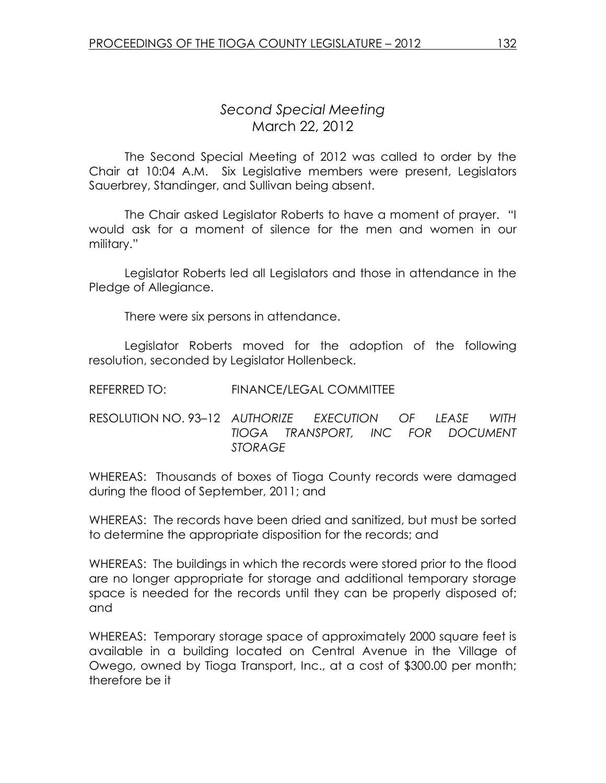## Second Special Meeting March 22, 2012

 The Second Special Meeting of 2012 was called to order by the Chair at 10:04 A.M. Six Legislative members were present, Legislators Sauerbrey, Standinger, and Sullivan being absent.

The Chair asked Legislator Roberts to have a moment of prayer. "I would ask for a moment of silence for the men and women in our military."

 Legislator Roberts led all Legislators and those in attendance in the Pledge of Allegiance.

There were six persons in attendance.

Legislator Roberts moved for the adoption of the following resolution, seconded by Legislator Hollenbeck.

| REFERRED TO: | <b>FINANCE/LEGAL COMMITTEE</b> |  |
|--------------|--------------------------------|--|
|              |                                |  |

RESOLUTION NO. 93–12 AUTHORIZE EXECUTION OF LEASE WITH TIOGA TRANSPORT, INC FOR DOCUMENT STORAGE

WHEREAS: Thousands of boxes of Tioga County records were damaged during the flood of September, 2011; and

WHEREAS: The records have been dried and sanitized, but must be sorted to determine the appropriate disposition for the records; and

WHEREAS: The buildings in which the records were stored prior to the flood are no longer appropriate for storage and additional temporary storage space is needed for the records until they can be properly disposed of; and

WHEREAS: Temporary storage space of approximately 2000 square feet is available in a building located on Central Avenue in the Village of Owego, owned by Tioga Transport, Inc., at a cost of \$300.00 per month; therefore be it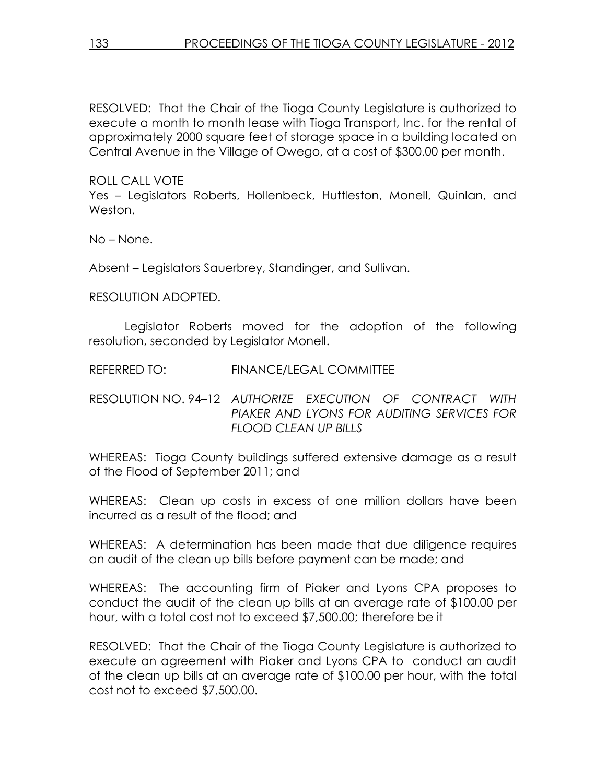RESOLVED: That the Chair of the Tioga County Legislature is authorized to execute a month to month lease with Tioga Transport, Inc. for the rental of approximately 2000 square feet of storage space in a building located on Central Avenue in the Village of Owego, at a cost of \$300.00 per month.

ROLL CALL VOTE

Yes – Legislators Roberts, Hollenbeck, Huttleston, Monell, Quinlan, and Weston.

No – None.

Absent – Legislators Sauerbrey, Standinger, and Sullivan.

RESOLUTION ADOPTED.

 Legislator Roberts moved for the adoption of the following resolution, seconded by Legislator Monell.

REFERRED TO: FINANCE/LEGAL COMMITTEE

RESOLUTION NO. 94–12 AUTHORIZE EXECUTION OF CONTRACT WITH PIAKER AND LYONS FOR AUDITING SERVICES FOR FLOOD CLEAN UP BILLS

WHEREAS: Tioga County buildings suffered extensive damage as a result of the Flood of September 2011; and

WHEREAS: Clean up costs in excess of one million dollars have been incurred as a result of the flood; and

WHEREAS: A determination has been made that due diligence requires an audit of the clean up bills before payment can be made; and

WHEREAS: The accounting firm of Piaker and Lyons CPA proposes to conduct the audit of the clean up bills at an average rate of \$100.00 per hour, with a total cost not to exceed \$7,500.00; therefore be it

RESOLVED: That the Chair of the Tioga County Legislature is authorized to execute an agreement with Piaker and Lyons CPA to conduct an audit of the clean up bills at an average rate of \$100.00 per hour, with the total cost not to exceed \$7,500.00.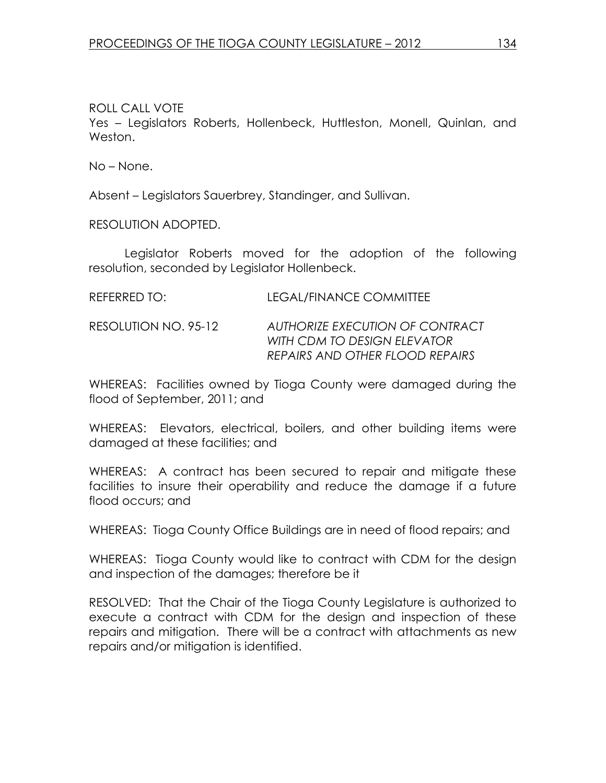ROLL CALL VOTE Yes – Legislators Roberts, Hollenbeck, Huttleston, Monell, Quinlan, and Weston.

No – None.

Absent – Legislators Sauerbrey, Standinger, and Sullivan.

RESOLUTION ADOPTED.

 Legislator Roberts moved for the adoption of the following resolution, seconded by Legislator Hollenbeck.

| REFERRED TO:         | LEGAL/FINANCE COMMITTEE                                                                           |
|----------------------|---------------------------------------------------------------------------------------------------|
| RESOLUTION NO. 95-12 | AUTHORIZE EXECUTION OF CONTRACT<br>WITH CDM TO DESIGN ELEVATOR<br>REPAIRS AND OTHER FLOOD REPAIRS |

WHEREAS: Facilities owned by Tioga County were damaged during the flood of September, 2011; and

WHEREAS: Elevators, electrical, boilers, and other building items were damaged at these facilities; and

WHEREAS: A contract has been secured to repair and mitigate these facilities to insure their operability and reduce the damage if a future flood occurs; and

WHEREAS: Tioga County Office Buildings are in need of flood repairs; and

WHEREAS: Tioga County would like to contract with CDM for the design and inspection of the damages; therefore be it

RESOLVED: That the Chair of the Tioga County Legislature is authorized to execute a contract with CDM for the design and inspection of these repairs and mitigation. There will be a contract with attachments as new repairs and/or mitigation is identified.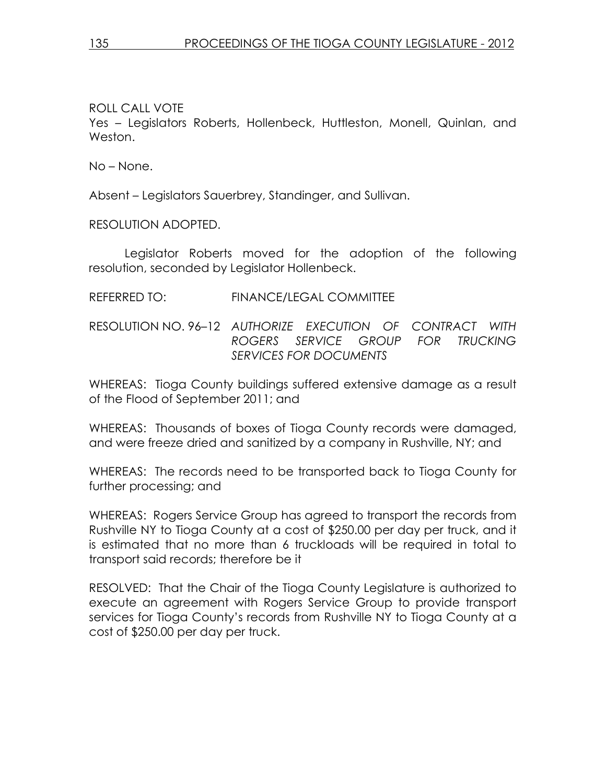ROLL CALL VOTE

Yes – Legislators Roberts, Hollenbeck, Huttleston, Monell, Quinlan, and Weston.

No – None.

Absent – Legislators Sauerbrey, Standinger, and Sullivan.

RESOLUTION ADOPTED.

 Legislator Roberts moved for the adoption of the following resolution, seconded by Legislator Hollenbeck.

## REFERRED TO: FINANCE/LEGAL COMMITTEE

RESOLUTION NO. 96–12 AUTHORIZE EXECUTION OF CONTRACT WITH ROGERS SERVICE GROUP FOR TRUCKING SERVICES FOR DOCUMENTS

WHEREAS: Tioga County buildings suffered extensive damage as a result of the Flood of September 2011; and

WHEREAS: Thousands of boxes of Tioga County records were damaged, and were freeze dried and sanitized by a company in Rushville, NY; and

WHEREAS: The records need to be transported back to Tioga County for further processing; and

WHEREAS: Rogers Service Group has agreed to transport the records from Rushville NY to Tioga County at a cost of \$250.00 per day per truck, and it is estimated that no more than 6 truckloads will be required in total to transport said records; therefore be it

RESOLVED: That the Chair of the Tioga County Legislature is authorized to execute an agreement with Rogers Service Group to provide transport services for Tioga County's records from Rushville NY to Tioga County at a cost of \$250.00 per day per truck.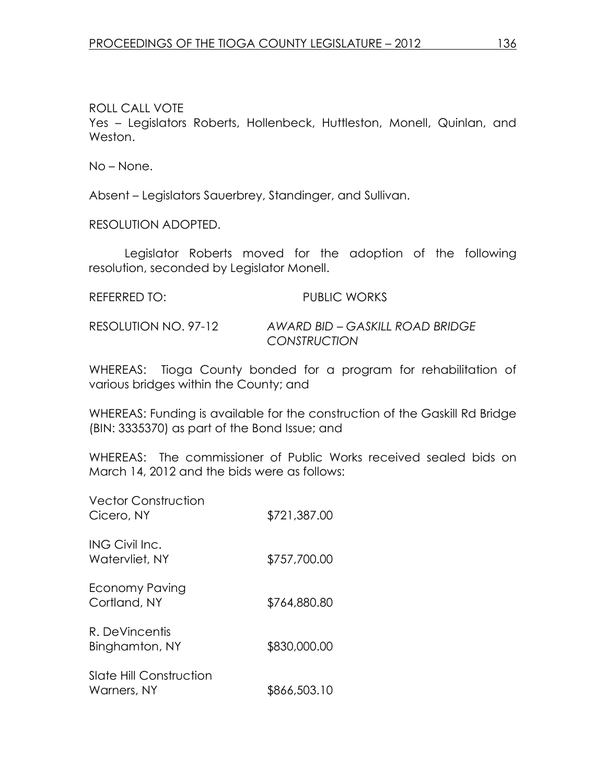ROLL CALL VOTE Yes – Legislators Roberts, Hollenbeck, Huttleston, Monell, Quinlan, and Weston.

No – None.

Absent – Legislators Sauerbrey, Standinger, and Sullivan.

RESOLUTION ADOPTED.

 Legislator Roberts moved for the adoption of the following resolution, seconded by Legislator Monell.

| REFERRED TO:         | <b>PUBLIC WORKS</b>             |
|----------------------|---------------------------------|
| RESOLUTION NO. 97-12 | AWARD BID – GASKILL ROAD BRIDGE |

WHEREAS: Tioga County bonded for a program for rehabilitation of various bridges within the County; and

**CONSTRUCTION** 

WHEREAS: Funding is available for the construction of the Gaskill Rd Bridge (BIN: 3335370) as part of the Bond Issue; and

WHEREAS: The commissioner of Public Works received sealed bids on March 14, 2012 and the bids were as follows:

| <b>Vector Construction</b><br>Cicero, NY      | \$721,387.00 |
|-----------------------------------------------|--------------|
| ING Civil Inc.<br>Watervliet, NY              | \$757,700.00 |
| Economy Paving<br>Cortland, NY                | \$764,880.80 |
| R. DeVincentis<br>Binghamton, NY              | \$830,000.00 |
| <b>Slate Hill Construction</b><br>Warners, NY | \$866,503.10 |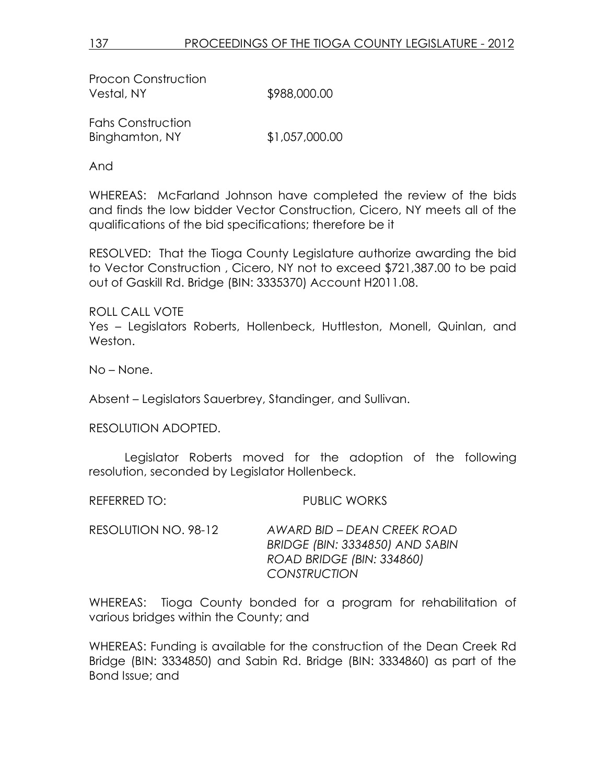Procon Construction Vestal, NY \$988,000.00

Fahs Construction Binghamton, NY \$1,057,000.00

And

WHEREAS: McFarland Johnson have completed the review of the bids and finds the low bidder Vector Construction, Cicero, NY meets all of the qualifications of the bid specifications; therefore be it

RESOLVED: That the Tioga County Legislature authorize awarding the bid to Vector Construction , Cicero, NY not to exceed \$721,387.00 to be paid out of Gaskill Rd. Bridge (BIN: 3335370) Account H2011.08.

ROLL CALL VOTE Yes – Legislators Roberts, Hollenbeck, Huttleston, Monell, Quinlan, and Weston.

No – None.

Absent – Legislators Sauerbrey, Standinger, and Sullivan.

RESOLUTION ADOPTED.

 Legislator Roberts moved for the adoption of the following resolution, seconded by Legislator Hollenbeck.

REFERRED TO: PUBLIC WORKS

RESOLUTION NO. 98-12 AWARD BID – DEAN CREEK ROAD BRIDGE (BIN: 3334850) AND SABIN ROAD BRIDGE (BIN: 334860) **CONSTRUCTION** 

WHEREAS: Tioga County bonded for a program for rehabilitation of various bridges within the County; and

WHEREAS: Funding is available for the construction of the Dean Creek Rd Bridge (BIN: 3334850) and Sabin Rd. Bridge (BIN: 3334860) as part of the Bond Issue; and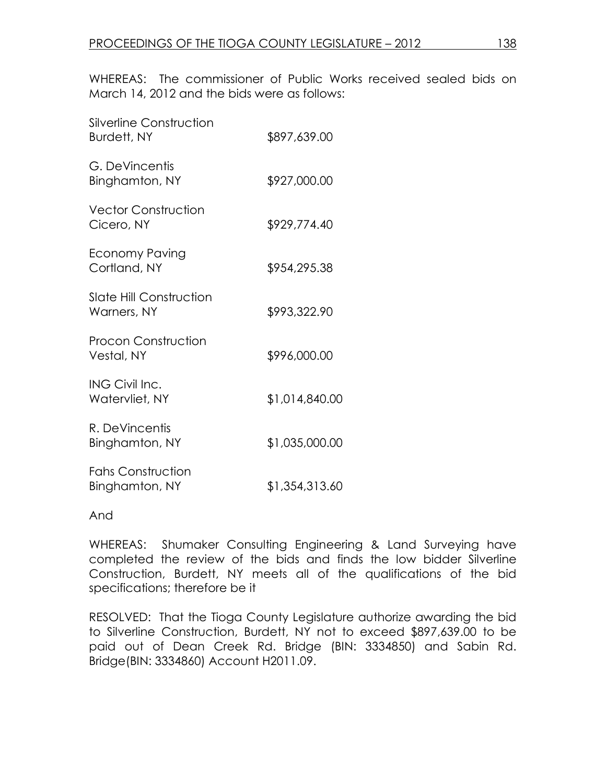WHEREAS: The commissioner of Public Works received sealed bids on March 14, 2012 and the bids were as follows:

| \$897,639.00   |
|----------------|
| \$927,000.00   |
| \$929,774.40   |
| \$954,295.38   |
| \$993,322.90   |
| \$996,000.00   |
| \$1,014,840.00 |
| \$1,035,000.00 |
| \$1,354,313.60 |
|                |

And

WHEREAS: Shumaker Consulting Engineering & Land Surveying have completed the review of the bids and finds the low bidder Silverline Construction, Burdett, NY meets all of the qualifications of the bid specifications; therefore be it

RESOLVED: That the Tioga County Legislature authorize awarding the bid to Silverline Construction, Burdett, NY not to exceed \$897,639.00 to be paid out of Dean Creek Rd. Bridge (BIN: 3334850) and Sabin Rd. Bridge(BIN: 3334860) Account H2011.09.